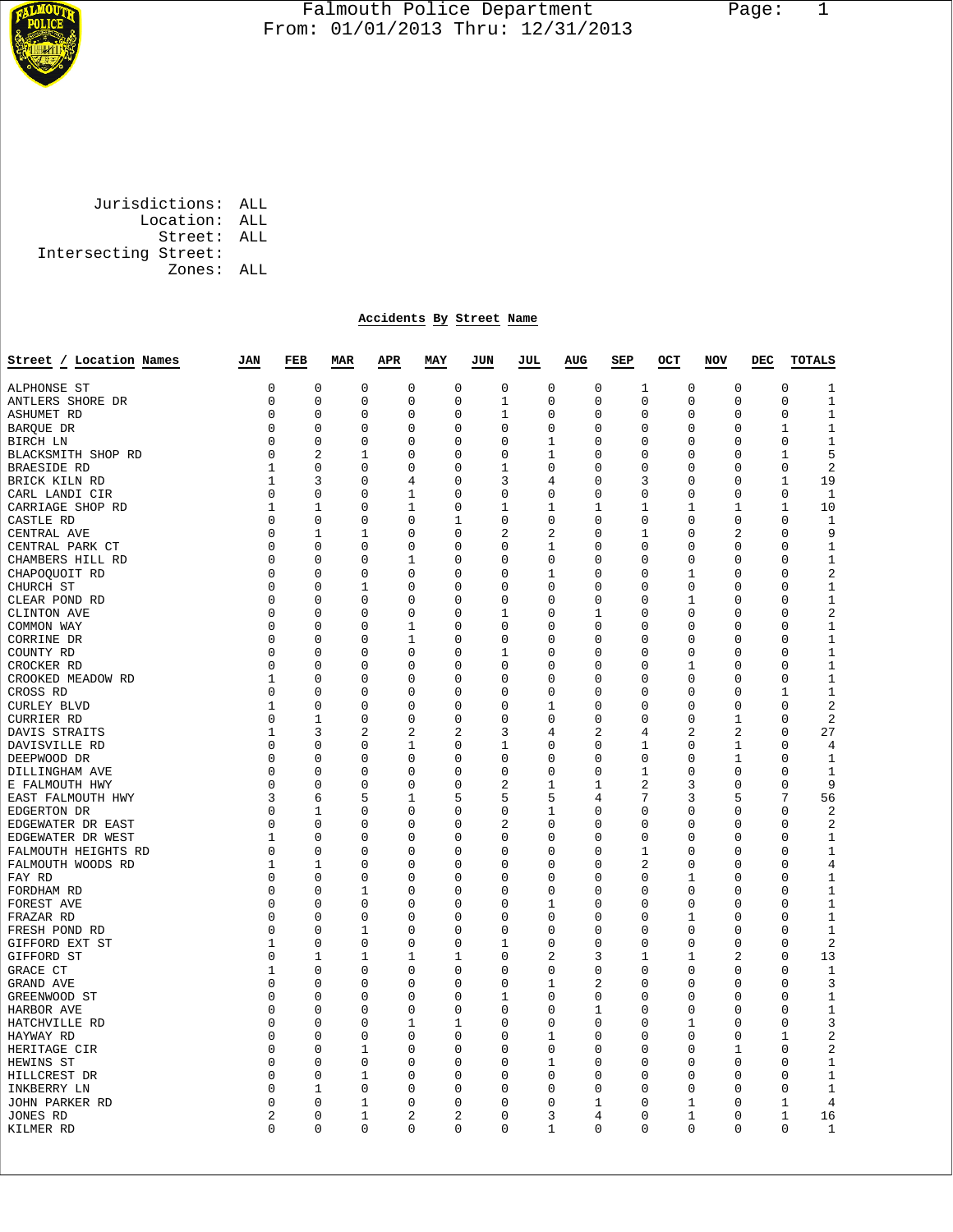

## Falmouth Police Department Page: 1  $\frac{1}{3}$  From: 01/01/2013 Thru: 12/31/2013

 Jurisdictions: ALL Location: ALL Street: ALL Intersecting Street: Zones: ALL

## **Accidents By Street Name**

| Street / Location Names | JAN         | FEB            | <b>MAR</b> | APR         | MAY         | JUN            | JUL          | AUG            | SEP          | OCT | <b>NOV</b>                 | DEC | <b>TOTALS</b>                 |
|-------------------------|-------------|----------------|------------|-------------|-------------|----------------|--------------|----------------|--------------|-----|----------------------------|-----|-------------------------------|
| ALPHONSE ST             | 0           | $\mathbf 0$    | 0          | $\mathbf 0$ | $\mathbf 0$ | $\mathbf 0$    | $\mathbf 0$  | 0              | 1            |     | $\mathbf 0$<br>$\mathbf 0$ |     | $\mathbf 0$<br>1              |
| ANTLERS SHORE DR        | 0           | 0              | 0          | $\mathsf 0$ | 0           | 1              | 0            | 0              | $\Omega$     |     | 0<br>0                     |     | $\mathbf 1$<br>$\Omega$       |
| <b>ASHUMET RD</b>       | 0           | $\mathbf 0$    | 0          | 0           | $\mathbf 0$ | 1              | 0            | $\mathbf 0$    | 0            |     | $\mathbf 0$<br>$\mathbf 0$ |     | $\mathbf 0$<br>$\mathbf{1}$   |
| BAROUE DR               | 0           | 0              | 0          | 0           | 0           | 0              | 0            | 0              | 0            |     | 0<br>0                     |     | $\mathbf 1$<br>1              |
| BIRCH LN                | 0           | 0              | 0          | 0           | 0           | 0              | 1            | 0              | 0            |     | 0<br>0                     |     | 0<br>1                        |
| BLACKSMITH SHOP RD      | 0           | $\overline{2}$ | 1          | 0           | 0           | 0              | 1            | 0              | 0            |     | 0<br>0                     |     | 5<br>1                        |
| BRAESIDE RD             | 1           | $\Omega$       | $\Omega$   | $\Omega$    | $\Omega$    | 1              | $\Omega$     | $\Omega$       | 0            |     | $\Omega$<br>$\Omega$       |     | $\sqrt{2}$<br>$\Omega$        |
| BRICK KILN RD           | 1           | 3              | 0          | 4           | 0           | 3              | 4            | 0              | 3            |     | 0<br>0                     |     | 19<br>1                       |
| CARL LANDI CIR          | 0           | 0              | 0          | 1           | 0           | 0              | 0            | 0              | 0            |     | 0<br>0                     |     | $\mathbf 0$<br>1              |
| CARRIAGE SHOP RD        | 1           | 1              | 0          | 1           | $\mathbf 0$ | 1              | 1            | 1              | 1            |     | 1<br>1                     |     | 1<br>10                       |
| CASTLE RD               | 0           | 0              | 0          | 0           | 1           | 0              | 0            | 0              | 0            |     | 0<br>0                     |     | 0<br>1                        |
| CENTRAL AVE             | $\Omega$    | 1              | 1          | $\Omega$    | $\Omega$    | 2              | 2            | $\Omega$       | 1            |     | $\Omega$                   | 2   | 9<br>$\Omega$                 |
| CENTRAL PARK CT         | 0           | 0              | 0          | $\mathbf 0$ | $\mathbf 0$ | 0              | 1            | 0              | 0            |     | 0<br>0                     |     | $\mathbf{1}$<br>0             |
| CHAMBERS HILL RD        | $\Omega$    | $\Omega$       | 0          | 1           | $\Omega$    | $\Omega$       | $\Omega$     | $\Omega$       | 0            |     | $\Omega$<br>$\Omega$       |     | $\Omega$<br>1                 |
| CHAPOQUOIT RD           | 0           | $\mathbf 0$    | 0          | $\mathbf 0$ | $\mathbf 0$ | $\Omega$       | 1            | 0              | 0            |     | 1<br>0                     |     | $\sqrt{2}$<br>$\Omega$        |
| CHURCH ST               | 0           | $\Omega$       | 1          | 0           | 0           | $\Omega$       | 0            | 0              | 0            |     | 0<br>0                     |     | 1<br>0                        |
| CLEAR POND RD           | 0           | 0              | 0          | 0           | $\mathbf 0$ | 0              | 0            | 0              | 0            |     | 1<br>0                     |     | $1\,$<br>0                    |
| CLINTON AVE             | 0           | 0              | 0          | 0           | 0           | 1              | 0            | 1              | 0            |     | 0<br>0                     |     | $\sqrt{2}$<br>0               |
| COMMON WAY              | 0           | $\Omega$       | $\Omega$   | 1           | 0           | $\Omega$       | 0            | 0              | 0            |     | 0<br>0                     |     | $\mathbf 1$<br>0              |
| CORRINE DR              | 0           | $\Omega$       | $\Omega$   | 1           | 0           | $\Omega$       | $\Omega$     | $\Omega$       | 0            |     | $\Omega$<br>0              |     | 1<br>$\Omega$                 |
| COUNTY RD               | 0           | 0              | 0          | 0           | 0           | 1              | 0            | $\Omega$       | 0            |     | 0<br>0                     |     | $1\,$<br>0                    |
| CROCKER RD              | 0           | $\mathbf 0$    | 0          | 0           | $\mathbf 0$ | 0              | $\mathbf 0$  | $\mathbf 0$    | 0            |     | $\mathbf 0$<br>1           |     | $\mathbf{1}$<br>$\mathbf 0$   |
| CROOKED MEADOW RD       | 1           | 0              | 0          | 0           | 0           | 0              | 0            | 0              | 0            |     | 0<br>0                     |     | $1\,$<br>0                    |
| CROSS RD                | 0           | $\Omega$       | 0          | 0           | 0           | $\Omega$       | 0            | $\Omega$       | 0            |     | 0<br>0                     |     | $\mathbf 1$<br>1              |
| CURLEY BLVD             | $\mathbf 1$ | $\mathbf 0$    | 0          | 0           | 0           | 0              | $\mathbf 1$  | $\mathbf 0$    | 0            |     | 0<br>0                     |     | $\mathbf 0$<br>2              |
| CURRIER RD              | 0           | 1              | 0          | 0           | 0           | $\Omega$       | 0            | $\Omega$       | 0            |     | 0<br>1                     |     | $\sqrt{2}$<br>$\Omega$        |
| DAVIS STRAITS           | 1           | 3              | 2          | 2           | 2           | 3              | 4            | $\overline{a}$ | 4            |     | 2                          | 2   | 27<br>$\mathbf 0$             |
| DAVISVILLE RD           | 0           | $\mathbf 0$    | 0          | 1           | 0           | 1              | $\mathbf 0$  | $\mathbf 0$    | 1            |     | $\mathbf 0$<br>$\mathbf 1$ |     | $\mathbf 0$<br>$\overline{4}$ |
| DEEPWOOD DR             | 0           | $\mathbf 0$    | 0          | 0           | $\mathbf 0$ | 0              | $\mathbf 0$  | $\mathbf 0$    | 0            |     | $\mathbf 1$<br>0           |     | $\mathbf 0$<br>$\mathbf{1}$   |
| DILLINGHAM AVE          | 0           | $\mathbf 0$    | 0          | 0           | 0           | 0              | $\mathsf 0$  | 0              | $\mathbf{1}$ |     | 0<br>0                     |     | $\mathbf 0$<br>$\mathbf 1$    |
| E FALMOUTH HWY          | 0           | 0              | 0          | 0           | 0           | 2              | 1            | 1              | 2            |     | 3<br>0                     |     | 9<br>0                        |
| EAST FALMOUTH HWY       | 3           | 6              | 5          | 1           | 5           | 5              | 5            | $\overline{4}$ | 7            |     | 3                          | 5   | 7<br>56                       |
| EDGERTON DR             | 0           | 1              | 0          | 0           | $\mathbf 0$ | 0              | 1            | 0              | 0            |     | 0<br>0                     |     | $\sqrt{2}$<br>$\mathbf 0$     |
| EDGEWATER DR EAST       | 0           | $\mathbf 0$    | 0          | 0           | $\mathbf 0$ | $\overline{2}$ | $\mathbf 0$  | $\mathbf 0$    | 0            |     | $\mathbf 0$<br>$\mathbf 0$ |     | $\overline{2}$<br>$\mathbf 0$ |
| EDGEWATER DR WEST       | 1           | 0              | 0          | 0           | 0           | 0              | 0            | 0              | 0            |     | 0<br>0                     |     | $\mathbf 1$<br>0              |
| FALMOUTH HEIGHTS RD     | 0           | 0              | 0          | 0           | 0           | 0              | 0            | 0              | 1            |     | 0<br>0                     |     | $\mathbf 1$<br>0              |
| FALMOUTH WOODS RD       | 1           | 1              | 0          | 0           | $\mathbf 0$ | 0              | 0            | 0              | 2            |     | $\mathbf 0$<br>0           |     | $\overline{4}$<br>0           |
| FAY RD                  | 0           | 0              | 0          | 0           | 0           | 0              | 0            | 0              | 0            |     | 0<br>1                     |     | 0<br>1                        |
| FORDHAM RD              | 0           | $\mathbf 0$    | 1          | 0           | $\mathbf 0$ | 0              | 0            | $\mathbf 0$    | 0            |     | 0<br>$\mathbf 0$           |     | 1<br>0                        |
| FOREST AVE              | 0           | $\Omega$       | $\Omega$   | $\Omega$    | 0           | 0              | 1            | $\Omega$       | 0            |     | $\Omega$<br>0              |     | $\Omega$<br>1                 |
| FRAZAR RD               | 0           | 0              | 0          | 0           | $\mathbf 0$ | 0              | 0            | 0              | 0            |     | 1<br>0                     |     | $\mathbf{1}$<br>$\mathbf 0$   |
| FRESH POND RD           | 0           | 0              | 1          | 0           | $\mathbf 0$ | 0              | 0            | $\mathbf 0$    | 0            |     | $\mathbf 0$<br>0           |     | $\mathbf 1$<br>0              |
| GIFFORD EXT ST          | 1           | 0              | 0          | 0           | 0           | 1              | 0            | 0              | 0            |     | 0<br>0                     |     | $\overline{a}$<br>$\Omega$    |
| GIFFORD ST              | 0           | 1              | 1          | 1           | 1           | 0              | 2            | 3              | 1            |     | 1                          | 2   | 13<br>0                       |
| GRACE CT                | 1           | 0              | 0          | 0           | 0           | 0              | 0            | 0              | 0            |     | 0<br>0                     |     | $\mathbf{1}$<br>0             |
| GRAND AVE               | 0           | 0              | 0          | 0           | $\mathbf 0$ | 0              | 1            | $\overline{2}$ | 0            |     | $\mathbf 0$<br>0           |     | 3<br>0                        |
| GREENWOOD ST            | $\Omega$    | 0              | 0          | 0           | 0           | 1              | $\Omega$     | 0              | 0            |     | 0<br>0                     |     | 1<br>$\Omega$                 |
| HARBOR AVE              | 0           | $\mathbf 0$    | 0          | 0           | $\mathbf 0$ | $\mathbf 0$    | $\mathbf 0$  | 1              | 0            |     | 0<br>$\mathbf 0$           |     | $\mathbf 0$<br>$\mathbf{1}$   |
| HATCHVILLE RD           | 0           | 0              | 0          | 1           | 1           | 0              | 0            | 0              | 0            |     | 1<br>0                     |     | 3<br>0                        |
| HAYWAY RD               | 0           | 0              | 0          | 0           | 0           | 0              | 1            | 0              | 0            |     | 0<br>0                     |     | $\overline{2}$<br>1           |
| HERITAGE CIR            | 0           | 0              | 1          | 0           | 0           | 0              | 0            | 0              | 0            |     | 0<br>1                     |     | $\overline{2}$<br>0           |
| HEWINS ST               | $\Omega$    | $\Omega$       | $\Omega$   | $\Omega$    | $\Omega$    | $\Omega$       | $\mathbf{1}$ | $\Omega$       | 0            |     | $\Omega$<br>$\Omega$       |     | $\Omega$<br>1                 |
| HILLCREST DR            | 0           | 0              | 1          | 0           | 0           | 0              | 0            | 0              | 0            |     | 0<br>0                     |     | $\mathbf{1}$<br>0             |
| INKBERRY LN             | 0           | 1              | 0          | 0           | 0           | 0              | 0            | 0              | 0            |     | 0<br>0                     |     | $\mathbf{1}$<br>0             |
| JOHN PARKER RD          | $\Omega$    | $\Omega$       | 1          | $\Omega$    | $\Omega$    | 0              | $\Omega$     | 1              | 0            |     | $\Omega$<br>1              |     | 4<br>1                        |
| JONES RD                | 2           | 0              | 1          | 2           | 2           | 0              | 3            | 4              | 0            |     | 1<br>0                     |     | 1<br>16                       |
| KILMER RD               | $\Omega$    | $\Omega$       | $\Omega$   | $\Omega$    | $\Omega$    | $\Omega$       | 1            | $\Omega$       | $\Omega$     |     | $\Omega$<br>$\Omega$       |     | $\Omega$<br>1                 |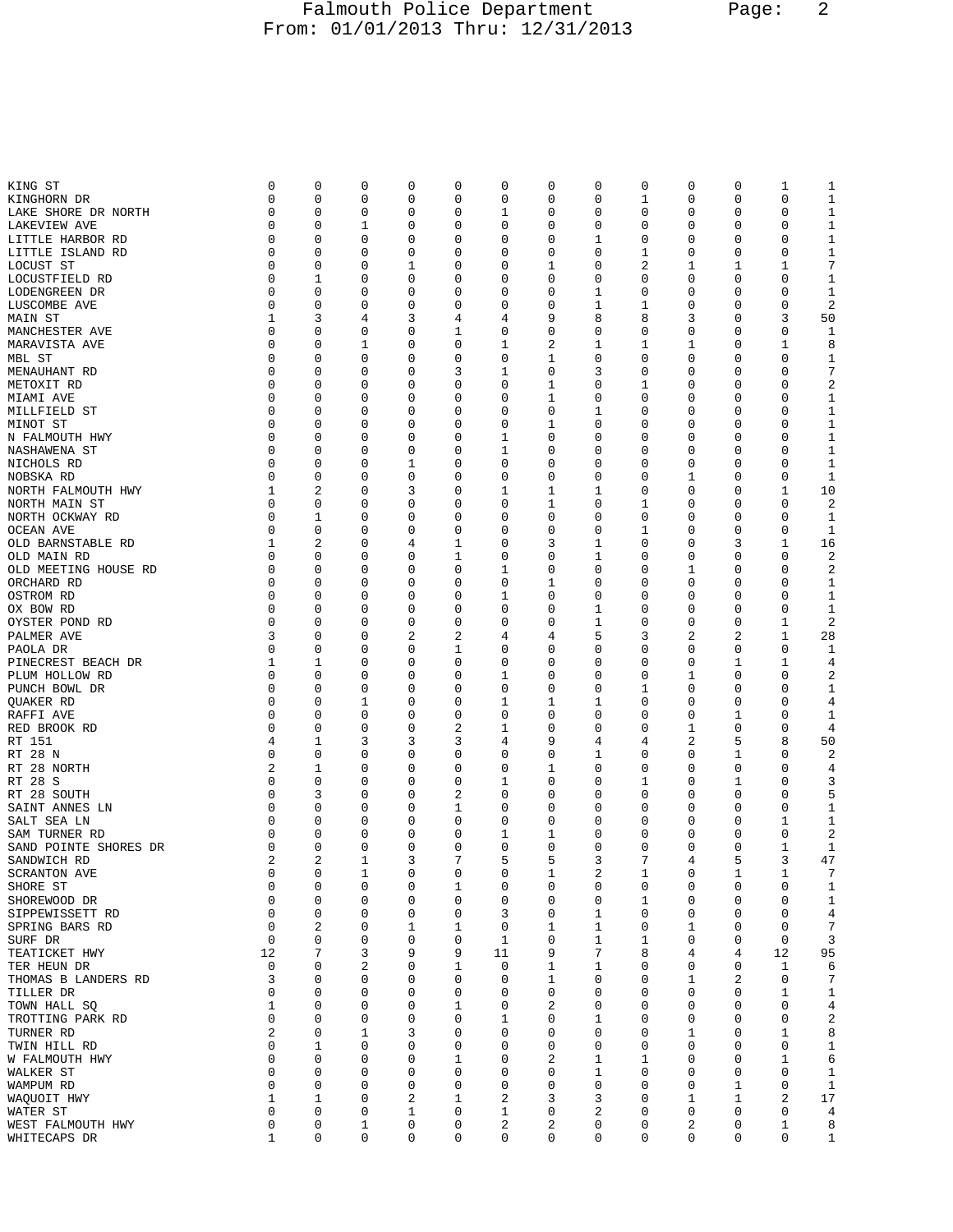## Falmouth Police Department Page: 2 From: 01/01/2013 Thru: 12/31/2013

| KING ST               | 0           | 0              | 0           | 0           | 0 | 0           | 0 | 0           | 0 | 0 | 0 | 1  | 1            |
|-----------------------|-------------|----------------|-------------|-------------|---|-------------|---|-------------|---|---|---|----|--------------|
|                       |             |                |             |             |   |             |   |             |   |   |   |    |              |
| KINGHORN DR           | 0           | 0              | 0           | 0           | 0 | 0           | 0 | 0           | 1 | 0 | 0 | 0  | 1            |
| LAKE SHORE DR NORTH   | 0           | 0              | 0           | 0           | 0 | 1           | 0 | 0           | 0 | 0 | 0 | 0  | 1            |
| LAKEVIEW AVE          | 0           | 0              | 1           | 0           | 0 | 0           | 0 | 0           | 0 | 0 | 0 | 0  | 1            |
| LITTLE HARBOR RD      | 0           | 0              | 0           | 0           | 0 | 0           | 0 | 1           | 0 | 0 | 0 | 0  | 1            |
| LITTLE ISLAND RD      | 0           | 0              | 0           | 0           | 0 | 0           | 0 | 0           | 1 | 0 | 0 | 0  | $\mathbf{1}$ |
| LOCUST ST             | 0           | 0              | 0           | 1           | 0 | 0           | 1 | 0           | 2 | 1 | 1 | 1  | 7            |
|                       |             |                |             |             |   |             |   |             |   |   |   |    |              |
| LOCUSTFIELD RD        | 0           | 1              | 0           | 0           | 0 | 0           | 0 | 0           | 0 | 0 | 0 | 0  | 1            |
| LODENGREEN DR         | 0           | 0              | 0           | 0           | 0 | 0           | 0 | 1           | 0 | 0 | 0 | 0  | 1            |
| LUSCOMBE AVE          | 0           | 0              | 0           | 0           | 0 | 0           | 0 | 1           | 1 | 0 | 0 | 0  | 2            |
| MAIN ST               | 1           | 3              | 4           | 3           | 4 | 4           | 9 | 8           | 8 | 3 | 0 | 3  | 50           |
| MANCHESTER AVE        | 0           | 0              | 0           | 0           | 1 | 0           | 0 | 0           | 0 | 0 | 0 | 0  | 1            |
| MARAVISTA AVE         | 0           | 0              | 1           | 0           | 0 | 1           | 2 | 1           | 1 | 1 | 0 | 1  | 8            |
|                       |             |                |             |             |   |             |   |             |   |   |   |    |              |
| MBL ST                | 0           | 0              | 0           | 0           | 0 | 0           | 1 | 0           | 0 | 0 | 0 | 0  | 1            |
| MENAUHANT RD          | 0           | 0              | 0           | 0           | 3 | 1           | 0 | 3           | 0 | 0 | 0 | 0  | 7            |
| METOXIT RD            | 0           | 0              | 0           | 0           | 0 | 0           | 1 | 0           | 1 | 0 | 0 | 0  | $\sqrt{2}$   |
| MIAMI AVE             | 0           | 0              | 0           | 0           | 0 | 0           | 1 | 0           | 0 | 0 | 0 | 0  | 1            |
| MILLFIELD ST          | 0           | 0              | 0           | 0           | 0 | 0           | 0 | 1           | 0 | 0 | 0 | 0  | $\mathbf{1}$ |
| MINOT ST              | 0           | 0              | 0           | 0           | 0 | 0           | 1 | 0           | 0 | 0 | 0 | 0  | 1            |
|                       |             |                |             |             |   |             |   |             |   |   |   |    |              |
| N FALMOUTH HWY        | 0           | 0              | 0           | 0           | 0 | 1           | 0 | 0           | 0 | 0 | 0 | 0  | 1            |
| NASHAWENA ST          | 0           | 0              | 0           | 0           | 0 | 1           | 0 | 0           | 0 | 0 | 0 | 0  | 1            |
| NICHOLS RD            | 0           | 0              | 0           | 1           | 0 | 0           | 0 | 0           | 0 | 0 | 0 | 0  | 1            |
| NOBSKA RD             | 0           | 0              | 0           | 0           | 0 | 0           | 0 | 0           | 0 | 1 | 0 | 0  | 1            |
| NORTH FALMOUTH HWY    | 1           | $\overline{a}$ | 0           | 3           | 0 | 1           | 1 | 1           | 0 | 0 | 0 | 1  | 10           |
| NORTH MAIN ST         | 0           | 0              | 0           | 0           | 0 | 0           | 1 | 0           | 1 | 0 | 0 | 0  | 2            |
|                       | 0           |                |             |             |   |             | 0 |             |   |   |   | 0  |              |
| NORTH OCKWAY RD       |             | 1              | 0           | 0           | 0 | 0           |   | 0           | 0 | 0 | 0 |    | 1            |
| OCEAN AVE             | $\mathbf 0$ | 0              | 0           | 0           | 0 | 0           | 0 | 0           | 1 | 0 | 0 | 0  | 1            |
| OLD BARNSTABLE RD     | 1           | 2              | 0           | 4           | 1 | 0           | 3 | 1           | 0 | 0 | 3 | 1  | 16           |
| OLD MAIN RD           | 0           | 0              | 0           | 0           | 1 | 0           | 0 | 1           | 0 | 0 | 0 | 0  | 2            |
| OLD MEETING HOUSE RD  | 0           | 0              | 0           | 0           | 0 | 1           | 0 | 0           | 0 | 1 | 0 | 0  | 2            |
| ORCHARD RD            | 0           | 0              | 0           | 0           | 0 | 0           | 1 | 0           | 0 | 0 | 0 | 0  | 1            |
|                       |             |                |             |             |   |             |   |             |   |   |   |    |              |
| OSTROM RD             | 0           | 0              | 0           | 0           | 0 | 1           | 0 | 0           | 0 | 0 | 0 | 0  | 1            |
| OX BOW RD             | 0           | 0              | 0           | 0           | 0 | $\mathbf 0$ | 0 | 1           | 0 | 0 | 0 | 0  | 1            |
| OYSTER POND RD        | 0           | 0              | 0           | 0           | 0 | 0           | 0 | 1           | 0 | 0 | 0 | 1  | 2            |
| PALMER AVE            | 3           | 0              | 0           | 2           | 2 | 4           | 4 | 5           | 3 | 2 | 2 | 1  | 28           |
| PAOLA DR              | 0           | 0              | 0           | 0           | 1 | 0           | 0 | 0           | 0 | 0 | 0 | 0  | 1            |
| PINECREST BEACH DR    | 1           | 1              | 0           | 0           | 0 | 0           | 0 | 0           | 0 | 0 | 1 | 1  | 4            |
| PLUM HOLLOW RD        | 0           | 0              | 0           | 0           | 0 | 1           | 0 | 0           | 0 | 1 | 0 | 0  | 2            |
|                       |             |                |             |             |   |             |   |             |   |   |   |    |              |
| PUNCH BOWL DR         | 0           | 0              | 0           | 0           | 0 | 0           | 0 | 0           | 1 | 0 | 0 | 0  | 1            |
| QUAKER RD             | 0           | 0              | 1           | 0           | 0 | 1           | 1 | 1           | 0 | 0 | 0 | 0  | 4            |
| RAFFI AVE             | 0           | 0              | 0           | 0           | 0 | 0           | 0 | 0           | 0 | 0 | 1 | 0  | 1            |
| RED BROOK RD          | 0           | 0              | 0           | 0           | 2 | 1           | 0 | 0           | 0 | 1 | 0 | 0  | 4            |
| RT 151                | 4           | 1              | 3           | 3           | 3 | 4           | 9 | 4           | 4 | 2 | 5 | 8  | 50           |
| RT 28 N               | 0           | 0              | 0           | 0           | 0 | 0           | 0 | 1           | 0 | 0 | 1 | 0  | 2            |
|                       |             |                |             |             |   |             |   |             |   |   |   |    |              |
| RT 28 NORTH           | 2           | 1              | 0           | 0           | 0 | 0           | 1 | 0           | 0 | 0 | 0 | 0  | 4            |
| RT 28 S               | 0           | 0              | 0           | 0           | 0 | 1           | 0 | 0           | 1 | 0 | 1 | 0  | 3            |
| RT 28 SOUTH           | 0           | 3              | 0           | 0           | 2 | 0           | 0 | 0           | 0 | 0 | 0 | 0  | 5            |
| SAINT ANNES LN        | 0           | 0              | 0           | 0           | 1 | 0           | 0 | 0           | 0 | 0 | 0 | 0  | 1            |
| SALT SEA LN           | 0           | 0              | 0           | 0           | 0 | 0           | 0 | 0           | 0 | 0 | 0 | 1  | 1            |
| SAM TURNER RD         | 0           | 0              | 0           | 0           | 0 | 1           | 1 | 0           | 0 | 0 | 0 | 0  | 2            |
|                       |             |                |             |             |   |             |   | $\mathbf 0$ |   |   |   |    |              |
| SAND POINTE SHORES DR | 0           | 0              | 0           | 0           | 0 | $\mathbf 0$ | 0 |             | 0 | 0 | 0 | 1  | 1            |
| SANDWICH RD           | 2           | 2              | 1           | 3           | 7 | 5           | 5 | 3           | 7 | 4 | 5 | 3  | 47           |
| SCRANTON AVE          | 0           | 0              | 1           | 0           | 0 | 0           | 1 | 2           | 1 | 0 | 1 | 1  | 7            |
| SHORE ST              | $\mathsf 0$ | $\mathbf 0$    | 0           | $\mathsf 0$ | 1 | $\mathbf 0$ | 0 | 0           | 0 | 0 | 0 | 0  | $\mathbf{1}$ |
| SHOREWOOD DR          | 0           | 0              | 0           | 0           | 0 | 0           | 0 | 0           | 1 | 0 | 0 | 0  | $\mathbf 1$  |
| SIPPEWISSETT RD       | 0           | 0              | 0           | 0           | 0 | 3           | 0 | 1           | 0 | 0 | 0 | 0  | 4            |
| SPRING BARS RD        | 0           | 2              | 0           | 1           | 1 | 0           |   | 1           | 0 | 1 | 0 | 0  | 7            |
|                       |             |                |             |             |   |             | 1 |             |   |   |   |    |              |
| SURF DR               | 0           | 0              | 0           | 0           | 0 | 1           | 0 | 1           | 1 | 0 | 0 | 0  | 3            |
| TEATICKET HWY         | 12          | 7              | 3           | 9           | 9 | 11          | 9 | 7           | 8 | 4 | 4 | 12 | 95           |
| TER HEUN DR           | 0           | 0              | 2           | 0           | 1 | 0           | 1 | 1           | 0 | 0 | 0 | 1  | $\sqrt{6}$   |
| THOMAS B LANDERS RD   | 3           | 0              | 0           | 0           | 0 | 0           | 1 | 0           | 0 | 1 | 2 | 0  | 7            |
| TILLER DR             | 0           | 0              | 0           | 0           | 0 | 0           | 0 | 0           | 0 | 0 | 0 | 1  | $\mathbf{1}$ |
| TOWN HALL SQ          | 1           | 0              | 0           | 0           | 1 | 0           | 2 | 0           | 0 | 0 | 0 | 0  | 4            |
|                       | 0           | 0              | 0           | 0           | 0 | 1           | 0 |             | 0 | 0 | 0 | 0  |              |
| TROTTING PARK RD      |             |                |             |             |   |             |   | 1           |   |   |   |    | 2            |
| TURNER RD             | 2           | 0              | 1           | 3           | 0 | 0           | 0 | 0           | 0 | 1 | 0 | 1  | 8            |
| TWIN HILL RD          | $\mathbf 0$ | 1              | 0           | 0           | 0 | $\mathbf 0$ | 0 | 0           | 0 | 0 | 0 | 0  | $1\,$        |
| W FALMOUTH HWY        | 0           | 0              | 0           | 0           | 1 | $\mathbf 0$ | 2 | 1           | 1 | 0 | 0 | 1  | 6            |
| WALKER ST             | 0           | 0              | 0           | 0           | 0 | 0           | 0 | 1           | 0 | 0 | 0 | 0  | $\mathbf{1}$ |
| WAMPUM RD             | 0           | 0              | 0           | 0           | 0 | $\mathbf 0$ | 0 | 0           | 0 | 0 | 1 | 0  | $\mathbf{1}$ |
| WAQUOIT HWY           | 1           | 1              | 0           | 2           | 1 | 2           | 3 | 3           | 0 | 1 | 1 | 2  | 17           |
|                       | 0           | 0              | 0           | 1           | 0 | 1           |   | 2           |   |   | 0 | 0  |              |
| WATER ST              |             |                |             |             |   |             | 0 |             | 0 | 0 |   |    | 4            |
| WEST FALMOUTH HWY     | 0           | $\mathsf 0$    | 1           | 0           | 0 | 2           | 2 | 0           | 0 | 2 | 0 | 1  | 8            |
| WHITECAPS DR          | 1           | 0              | $\mathbf 0$ | 0           | 0 | 0           | 0 | 0           | 0 | 0 | 0 | 0  | $\mathbf{1}$ |